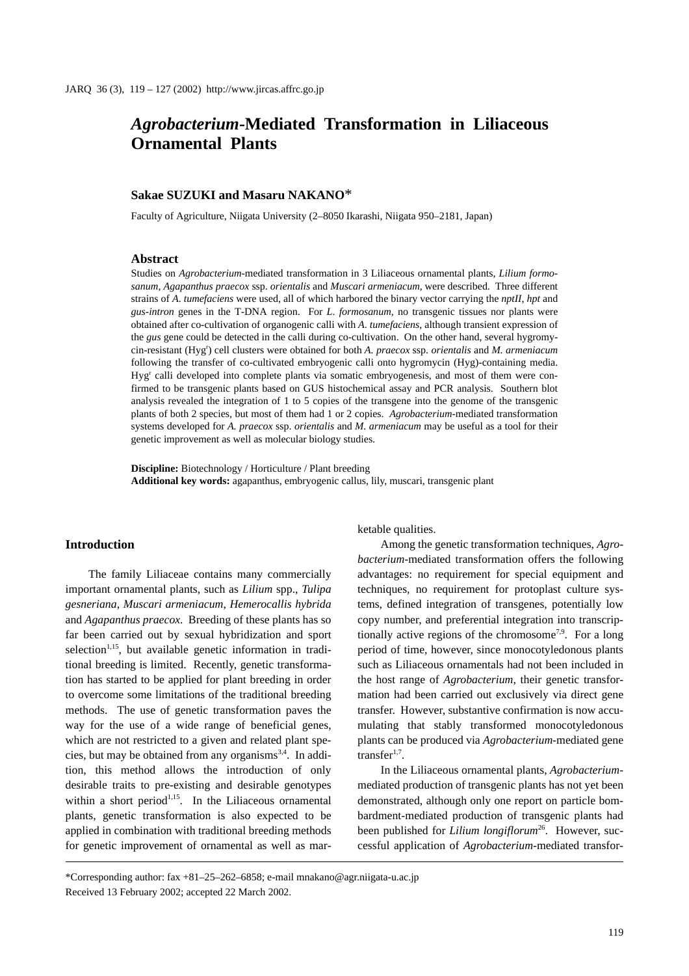# *Agrobacterium***-Mediated Transformation in Liliaceous Ornamental Plants**

### **Sakae SUZUKI and Masaru NAKANO**\*

Faculty of Agriculture, Niigata University (2–8050 Ikarashi, Niigata 950–2181, Japan)

#### **Abstract**

Studies on *Agrobacterium*-mediated transformation in 3 Liliaceous ornamental plants, *Lilium formosanum*, *Agapanthus praecox* ssp. *orientalis* and *Muscari armeniacum*, were described. Three different strains of *A*. *tumefaciens* were used, all of which harbored the binary vector carrying the *nptII*, *hpt* and *gus-intron* genes in the T-DNA region. For *L*. *formosanum*, no transgenic tissues nor plants were obtained after co-cultivation of organogenic calli with *A*. *tumefaciens*, although transient expression of the *gus* gene could be detected in the calli during co-cultivation. On the other hand, several hygromycin-resistant (Hygr ) cell clusters were obtained for both *A. praecox* ssp. *orientalis* and *M. armeniacum* following the transfer of co-cultivated embryogenic calli onto hygromycin (Hyg)-containing media. Hygr calli developed into complete plants via somatic embryogenesis, and most of them were confirmed to be transgenic plants based on GUS histochemical assay and PCR analysis. Southern blot analysis revealed the integration of 1 to 5 copies of the transgene into the genome of the transgenic plants of both 2 species, but most of them had 1 or 2 copies. *Agrobacterium*-mediated transformation systems developed for *A. praecox* ssp. *orientalis* and *M. armeniacum* may be useful as a tool for their genetic improvement as well as molecular biology studies.

**Discipline:** Biotechnology / Horticulture / Plant breeding **Additional key words:** agapanthus, embryogenic callus, lily, muscari, transgenic plant

#### **Introduction**

The family Liliaceae contains many commercially important ornamental plants, such as *Lilium* spp., *Tulipa gesneriana*, *Muscari armeniacum*, *Hemerocallis hybrida* and *Agapanthus praecox*. Breeding of these plants has so far been carried out by sexual hybridization and sport selection<sup> $1,15$ </sup>, but available genetic information in traditional breeding is limited. Recently, genetic transformation has started to be applied for plant breeding in order to overcome some limitations of the traditional breeding methods. The use of genetic transformation paves the way for the use of a wide range of beneficial genes, which are not restricted to a given and related plant species, but may be obtained from any organisms<sup>3,4</sup>. In addition, this method allows the introduction of only desirable traits to pre-existing and desirable genotypes within a short period<sup>1,15</sup>. In the Liliaceous ornamental plants, genetic transformation is also expected to be applied in combination with traditional breeding methods for genetic improvement of ornamental as well as marketable qualities.

Among the genetic transformation techniques, *Agrobacterium*-mediated transformation offers the following advantages: no requirement for special equipment and techniques, no requirement for protoplast culture systems, defined integration of transgenes, potentially low copy number, and preferential integration into transcriptionally active regions of the chromosome<sup>7,9</sup>. For a long period of time, however, since monocotyledonous plants such as Liliaceous ornamentals had not been included in the host range of *Agrobacterium*, their genetic transformation had been carried out exclusively via direct gene transfer. However, substantive confirmation is now accumulating that stably transformed monocotyledonous plants can be produced via *Agrobacterium*-mediated gene transfer $1,7$ .

In the Liliaceous ornamental plants, *Agrobacterium*mediated production of transgenic plants has not yet been demonstrated, although only one report on particle bombardment-mediated production of transgenic plants had been published for *Lilium longiflorum*<sup>26</sup>. However, successful application of *Agrobacterium*-mediated transfor-

<sup>\*</sup>Corresponding author: fax +81–25–262–6858; e-mail mnakano@agr.niigata-u.ac.jp Received 13 February 2002; accepted 22 March 2002.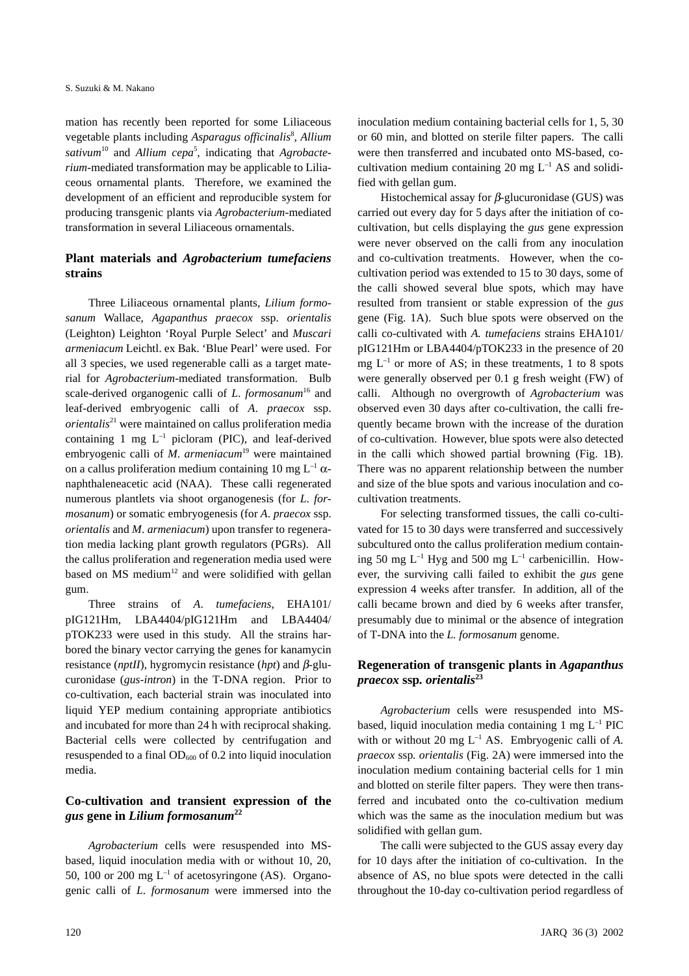mation has recently been reported for some Liliaceous vegetable plants including *Asparagus officinalis*<sup>8</sup> , *Allium* sativum<sup>10</sup> and *Allium cepa*<sup>5</sup>, indicating that *Agrobacterium*-mediated transformation may be applicable to Liliaceous ornamental plants. Therefore, we examined the development of an efficient and reproducible system for producing transgenic plants via *Agrobacterium*-mediated transformation in several Liliaceous ornamentals.

# **Plant materials and** *Agrobacterium tumefaciens* **strains**

Three Liliaceous ornamental plants, *Lilium formosanum* Wallace, *Agapanthus praecox* ssp. *orientalis* (Leighton) Leighton 'Royal Purple Select' and *Muscari armeniacum* Leichtl. ex Bak. 'Blue Pearl' were used. For all 3 species, we used regenerable calli as a target material for *Agrobacterium*-mediated transformation. Bulb scale-derived organogenic calli of *L. formosanum*<sup>16</sup> and leaf-derived embryogenic calli of *A*. *praecox* ssp. *orientalis*21 were maintained on callus proliferation media containing 1 mg  $L^{-1}$  picloram (PIC), and leaf-derived embryogenic calli of *M. armeniacum*<sup>19</sup> were maintained on a callus proliferation medium containing 10 mg  $L^{-1}$   $\alpha$ naphthaleneacetic acid (NAA). These calli regenerated numerous plantlets via shoot organogenesis (for *L*. *formosanum*) or somatic embryogenesis (for *A*. *praecox* ssp. *orientalis* and *M*. *armeniacum*) upon transfer to regeneration media lacking plant growth regulators (PGRs). All the callus proliferation and regeneration media used were based on  $MS$  medium<sup>12</sup> and were solidified with gellan gum.

Three strains of *A*. *tumefaciens*, EHA101/ pIG121Hm, LBA4404/pIG121Hm and LBA4404/ pTOK233 were used in this study. All the strains harbored the binary vector carrying the genes for kanamycin resistance (*nptII*), hygromycin resistance (*hpt*) and β-glucuronidase (*gus-intron*) in the T-DNA region. Prior to co-cultivation, each bacterial strain was inoculated into liquid YEP medium containing appropriate antibiotics and incubated for more than 24 h with reciprocal shaking. Bacterial cells were collected by centrifugation and resuspended to a final  $OD_{600}$  of 0.2 into liquid inoculation media.

# **Co-cultivation and transient expression of the** *gus* **gene in** *Lilium formosanum***<sup>22</sup>**

*Agrobacterium* cells were resuspended into MSbased, liquid inoculation media with or without 10, 20, 50, 100 or 200 mg  $L^{-1}$  of acetosyringone (AS). Organogenic calli of *L*. *formosanum* were immersed into the inoculation medium containing bacterial cells for 1, 5, 30 or 60 min, and blotted on sterile filter papers. The calli were then transferred and incubated onto MS-based, cocultivation medium containing 20 mg  $L^{-1}$  AS and solidified with gellan gum.

Histochemical assay for  $β$ -glucuronidase (GUS) was carried out every day for 5 days after the initiation of cocultivation, but cells displaying the *gus* gene expression were never observed on the calli from any inoculation and co-cultivation treatments. However, when the cocultivation period was extended to 15 to 30 days, some of the calli showed several blue spots, which may have resulted from transient or stable expression of the *gus* gene (Fig. 1A). Such blue spots were observed on the calli co-cultivated with *A. tumefaciens* strains EHA101/ pIG121Hm or LBA4404/pTOK233 in the presence of 20 mg  $L^{-1}$  or more of AS; in these treatments, 1 to 8 spots were generally observed per 0.1 g fresh weight (FW) of calli. Although no overgrowth of *Agrobacterium* was observed even 30 days after co-cultivation, the calli frequently became brown with the increase of the duration of co-cultivation. However, blue spots were also detected in the calli which showed partial browning (Fig. 1B). There was no apparent relationship between the number and size of the blue spots and various inoculation and cocultivation treatments.

For selecting transformed tissues, the calli co-cultivated for 15 to 30 days were transferred and successively subcultured onto the callus proliferation medium containing 50 mg  $L^{-1}$  Hyg and 500 mg  $L^{-1}$  carbenicillin. However, the surviving calli failed to exhibit the *gus* gene expression 4 weeks after transfer. In addition, all of the calli became brown and died by 6 weeks after transfer, presumably due to minimal or the absence of integration of T-DNA into the *L. formosanum* genome.

# **Regeneration of transgenic plants in** *Agapanthus praecox* **ssp***. orientalis***<sup>23</sup>**

*Agrobacterium* cells were resuspended into MSbased, liquid inoculation media containing  $1 \text{ mg } L^{-1}$  PIC with or without 20 mg  $L^{-1}$  AS. Embryogenic calli of A. *praecox* ssp*. orientalis* (Fig. 2A) were immersed into the inoculation medium containing bacterial cells for 1 min and blotted on sterile filter papers. They were then transferred and incubated onto the co-cultivation medium which was the same as the inoculation medium but was solidified with gellan gum.

The calli were subjected to the GUS assay every day for 10 days after the initiation of co-cultivation. In the absence of AS, no blue spots were detected in the calli throughout the 10-day co-cultivation period regardless of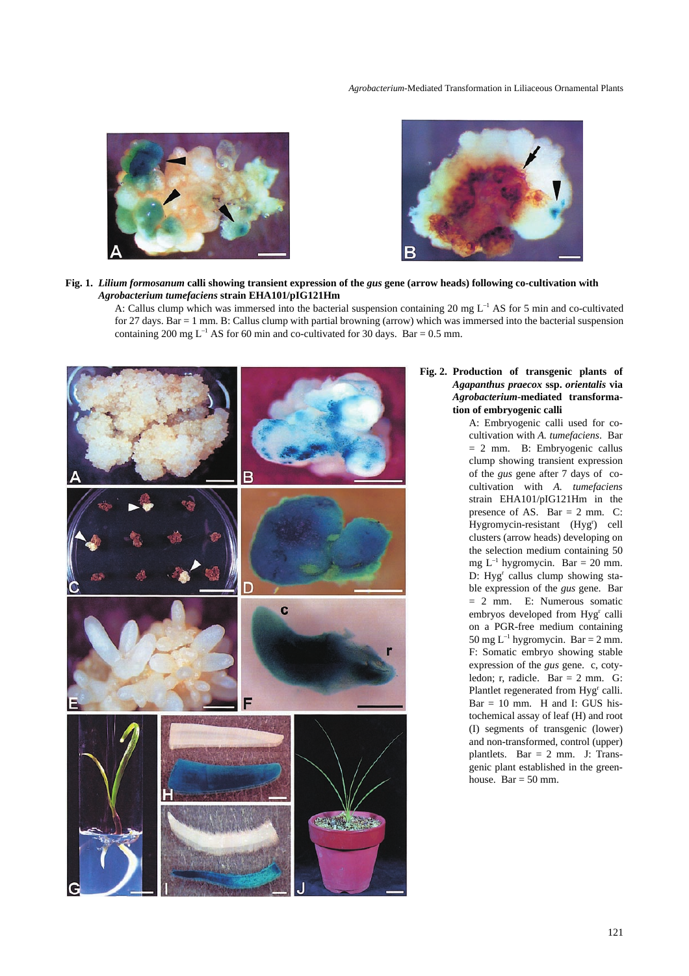#### *Agrobacterium*-Mediated Transformation in Liliaceous Ornamental Plants





#### **Fig. 1.** *Lilium formosanum* **calli showing transient expression of the** *gus* **gene (arrow heads) following co-cultivation with**  *Agrobacterium tumefaciens* **strain EHA101/pIG121Hm**

A: Callus clump which was immersed into the bacterial suspension containing 20 mg  $L^{-1}$  AS for 5 min and co-cultivated for 27 days. Bar = 1 mm. B: Callus clump with partial browning (arrow) which was immersed into the bacterial suspension containing 200 mg  $L^{-1}$  AS for 60 min and co-cultivated for 30 days. Bar = 0.5 mm.



## **Fig. 2. Production of transgenic plants of** *Agapanthus praecox* **ssp.** *orientalis* **via** *Agrobacterium***-mediated transformation of embryogenic calli**

A: Embryogenic calli used for cocultivation with *A. tumefaciens*. Bar = 2 mm. B: Embryogenic callus clump showing transient expression of the *gus* gene after 7 days of cocultivation with *A. tumefaciens* strain EHA101/pIG121Hm in the presence of AS. Bar  $= 2$  mm. C: Hygromycin-resistant (Hyg') cell clusters (arrow heads) developing on the selection medium containing 50 mg  $L^{-1}$  hygromycin. Bar = 20 mm. D: Hyg<sup>r</sup> callus clump showing stable expression of the *gus* gene. Bar = 2 mm. E: Numerous somatic embryos developed from Hyg<sup>r</sup> calli on a PGR-free medium containing 50 mg  $L^{-1}$  hygromycin. Bar = 2 mm. F: Somatic embryo showing stable expression of the *gus* gene. c, cotyledon; r, radicle. Bar = 2 mm. G: Plantlet regenerated from Hyg<sup>r</sup> calli.  $Bar = 10$  mm. H and I: GUS histochemical assay of leaf (H) and root (I) segments of transgenic (lower) and non-transformed, control (upper) plantlets. Bar = 2 mm. J: Transgenic plant established in the greenhouse. Bar =  $50$  mm.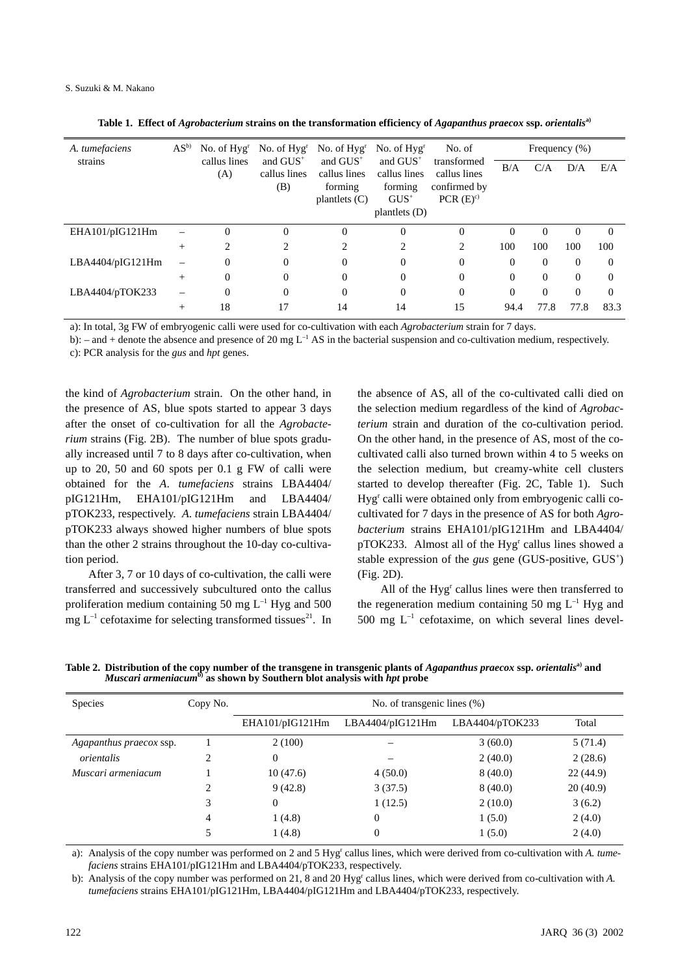| A. tumefaciens<br>strains | $AS^{\rm b}$ | No. of $Hvgr$<br>callus lines<br>(A) | No. of $Hyg^r$<br>and GUS <sup>+</sup><br>callus lines<br>(B) | No. of $Hyg^r$<br>and $GUS^+$<br>callus lines<br>forming<br>plantlets $(C)$ | No. of $Hvgr$<br>and $GUS^+$<br>callus lines<br>forming<br>$GUS^+$<br>plantlets $(D)$ | No. of<br>transformed<br>callus lines<br>confirmed by<br>PCR(E) <sup>c</sup> | Frequency $(\%)$ |          |          |          |
|---------------------------|--------------|--------------------------------------|---------------------------------------------------------------|-----------------------------------------------------------------------------|---------------------------------------------------------------------------------------|------------------------------------------------------------------------------|------------------|----------|----------|----------|
|                           |              |                                      |                                                               |                                                                             |                                                                                       |                                                                              | B/A              | C/A      | D/A      | E/A      |
| EHA101/pIG121Hm           |              | $\Omega$                             | $\theta$                                                      | $\Omega$                                                                    | $\Omega$                                                                              | $\Omega$                                                                     | $\Omega$         | $\Omega$ | $\Omega$ | $\Omega$ |
|                           | $^{+}$       | 2                                    | 2                                                             | 2                                                                           | 2                                                                                     | 2                                                                            | 100              | 100      | 100      | 100      |
| LBA4404/pIG121Hm          |              | $\Omega$                             | 0                                                             | $\Omega$                                                                    | $\Omega$                                                                              | $\Omega$                                                                     | $\Omega$         | $\Omega$ | $\Omega$ | $\Omega$ |
|                           | $^{+}$       | $\Omega$                             | $\Omega$                                                      | $\Omega$                                                                    | $\Omega$                                                                              | $\Omega$                                                                     | $\Omega$         | $\theta$ | $\Omega$ | $\Omega$ |
| LBA4404/pTOK233           |              | $\Omega$                             | $\theta$                                                      | $\Omega$                                                                    | $\Omega$                                                                              | $\Omega$                                                                     | $\Omega$         | $\theta$ | $\Omega$ | $\Omega$ |
|                           | $^{+}$       | 18                                   | 17                                                            | 14                                                                          | 14                                                                                    | 15                                                                           | 94.4             | 77.8     | 77.8     | 83.3     |

a): In total, 3g FW of embryogenic calli were used for co-cultivation with each *Agrobacterium* strain for 7 days.

b): – and + denote the absence and presence of 20 mg  $L^{-1}$  AS in the bacterial suspension and co-cultivation medium, respectively. c): PCR analysis for the *gus* and *hpt* genes.

the kind of *Agrobacterium* strain. On the other hand, in the presence of AS, blue spots started to appear 3 days after the onset of co-cultivation for all the *Agrobacterium* strains (Fig. 2B). The number of blue spots gradually increased until 7 to 8 days after co-cultivation, when up to 20, 50 and 60 spots per 0.1 g FW of calli were obtained for the *A*. *tumefaciens* strains LBA4404/ pIG121Hm, EHA101/pIG121Hm and LBA4404/ pTOK233, respectively. *A*. *tumefaciens* strain LBA4404/ pTOK233 always showed higher numbers of blue spots than the other 2 strains throughout the 10-day co-cultivation period.

After 3, 7 or 10 days of co-cultivation, the calli were transferred and successively subcultured onto the callus proliferation medium containing 50 mg  $L^{-1}$  Hyg and 500 mg  $L^{-1}$  cefotaxime for selecting transformed tissues<sup>21</sup>. In the absence of AS, all of the co-cultivated calli died on the selection medium regardless of the kind of *Agrobacterium* strain and duration of the co-cultivation period. On the other hand, in the presence of AS, most of the cocultivated calli also turned brown within 4 to 5 weeks on the selection medium, but creamy-white cell clusters started to develop thereafter (Fig. 2C, Table 1). Such Hyg<sup>r</sup> calli were obtained only from embryogenic calli cocultivated for 7 days in the presence of AS for both *Agrobacterium* strains EHA101/pIG121Hm and LBA4404/ pTOK233. Almost all of the Hyg<sup>r</sup> callus lines showed a stable expression of the *gus* gene (GUS-positive, GUS<sup>+</sup>) (Fig. 2D).

All of the Hyg<sup>r</sup> callus lines were then transferred to the regeneration medium containing 50 mg  $L^{-1}$  Hyg and  $500 \text{ mg } L^{-1}$  cefotaxime, on which several lines devel-

**Table 2. Distribution of the copy number of the transgene in transgenic plants of** *Agapanthus praecox* **ssp.** *orientalis***a) and**  *Muscari armeniacum***b) as shown by Southern blot analysis with** *hpt* **probe**

| Species                 | Copy No. | No. of transgenic lines (%) |                  |                 |          |  |  |  |
|-------------------------|----------|-----------------------------|------------------|-----------------|----------|--|--|--|
|                         |          | EHA101/pIG121Hm             | LBA4404/pIG121Hm | LBA4404/pTOK233 | Total    |  |  |  |
| Agapanthus praecox ssp. |          | 2(100)                      |                  | 3(60.0)         | 5(71.4)  |  |  |  |
| orientalis              | ↑        | $\mathbf{0}$                |                  | 2(40.0)         | 2(28.6)  |  |  |  |
| Muscari armeniacum      |          | 10(47.6)                    | 4(50.0)          | 8(40.0)         | 22(44.9) |  |  |  |
|                         | 2        | 9(42.8)                     | 3(37.5)          | 8(40.0)         | 20(40.9) |  |  |  |
|                         | 3        | $\Omega$                    | 1(12.5)          | 2(10.0)         | 3(6.2)   |  |  |  |
|                         | 4        | 1(4.8)                      | $\overline{0}$   | 1(5.0)          | 2(4.0)   |  |  |  |
|                         |          | 1(4.8)                      | $\overline{0}$   | 1(5.0)          | 2(4.0)   |  |  |  |

a): Analysis of the copy number was performed on 2 and 5 Hyg<sup>r</sup> callus lines, which were derived from co-cultivation with *A. tumefaciens* strains EHA101/pIG121Hm and LBA4404/pTOK233, respectively.

b): Analysis of the copy number was performed on 21, 8 and 20 Hyg<sup>r</sup> callus lines, which were derived from co-cultivation with *A*. *tumefaciens* strains EHA101/pIG121Hm, LBA4404/pIG121Hm and LBA4404/pTOK233, respectively.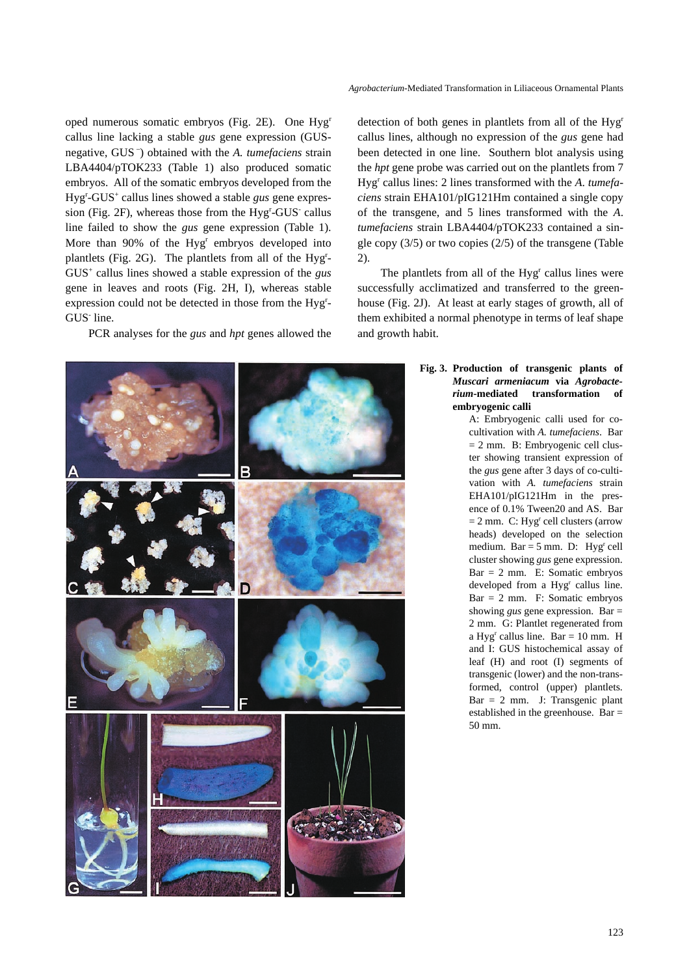oped numerous somatic embryos (Fig. 2E). One Hygr callus line lacking a stable *gus* gene expression (GUSnegative, GUS –) obtained with the *A. tumefaciens* strain LBA4404/pTOK233 (Table 1) also produced somatic embryos. All of the somatic embryos developed from the Hyg<sup>r</sup> -GUS<sup>+</sup> callus lines showed a stable *gus* gene expression (Fig. 2F), whereas those from the Hyg<sup>r</sup>-GUS callus line failed to show the *gus* gene expression (Table 1). More than 90% of the Hyg<sup>r</sup> embryos developed into plantlets (Fig. 2G). The plantlets from all of the Hyg<sup>r</sup>-GUS+ callus lines showed a stable expression of the *gus* gene in leaves and roots (Fig. 2H, I), whereas stable expression could not be detected in those from the Hyg<sup>r</sup>-GUS line.

PCR analyses for the *gus* and *hpt* genes allowed the



detection of both genes in plantlets from all of the Hygr callus lines, although no expression of the *gus* gene had been detected in one line. Southern blot analysis using the *hpt* gene probe was carried out on the plantlets from 7 Hyg<sup>r</sup> callus lines: 2 lines transformed with the *A*. *tumefaciens* strain EHA101/pIG121Hm contained a single copy of the transgene, and 5 lines transformed with the *A*. *tumefaciens* strain LBA4404/pTOK233 contained a single copy (3/5) or two copies (2/5) of the transgene (Table 2).

The plantlets from all of the Hyg<sup>r</sup> callus lines were successfully acclimatized and transferred to the greenhouse (Fig. 2J). At least at early stages of growth, all of them exhibited a normal phenotype in terms of leaf shape and growth habit.

### **Fig. 3. Production of transgenic plants of** *Muscari armeniacum* **via** *Agrobacterium***-mediated transformation of embryogenic calli**

A: Embryogenic calli used for cocultivation with *A. tumefaciens*. Bar = 2 mm. B: Embryogenic cell cluster showing transient expression of the *gus* gene after 3 days of co-cultivation with *A. tumefaciens* strain EHA101/pIG121Hm in the presence of 0.1% Tween20 and AS. Bar  $= 2$  mm. C: Hyg<sup>r</sup> cell clusters (arrow heads) developed on the selection medium. Bar =  $5$  mm. D: Hyg<sup>r</sup> cell cluster showing *gus* gene expression. Bar = 2 mm. E: Somatic embryos developed from a Hyg<sup>r</sup> callus line. Bar = 2 mm. F: Somatic embryos showing *gus* gene expression. Bar = 2 mm. G: Plantlet regenerated from a Hyg<sup>r</sup> callus line. Bar = 10 mm. H and I: GUS histochemical assay of leaf (H) and root (I) segments of transgenic (lower) and the non-transformed, control (upper) plantlets.  $Bar = 2$  mm. J: Transgenic plant established in the greenhouse. Bar = 50 mm.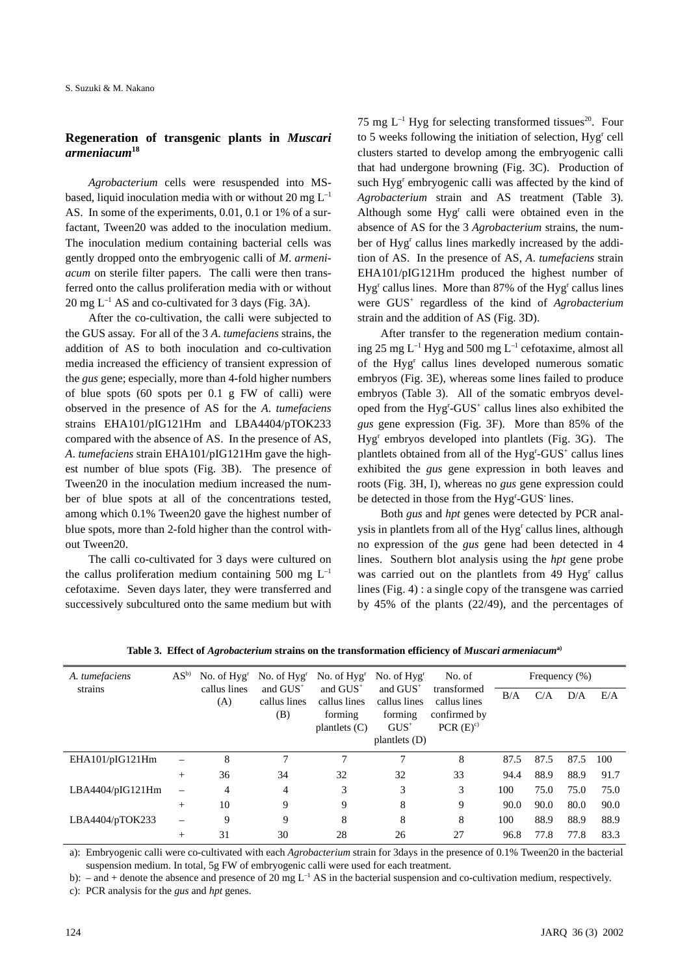# **Regeneration of transgenic plants in** *Muscari armeniacum***<sup>18</sup>**

*Agrobacterium* cells were resuspended into MSbased, liquid inoculation media with or without 20 mg  $L^{-1}$ AS. In some of the experiments, 0.01, 0.1 or 1% of a surfactant, Tween20 was added to the inoculation medium. The inoculation medium containing bacterial cells was gently dropped onto the embryogenic calli of *M*. *armeniacum* on sterile filter papers. The calli were then transferred onto the callus proliferation media with or without  $20 \text{ mg } L^{-1}$  AS and co-cultivated for 3 days (Fig. 3A).

After the co-cultivation, the calli were subjected to the GUS assay. For all of the 3 *A*. *tumefaciens* strains, the addition of AS to both inoculation and co-cultivation media increased the efficiency of transient expression of the *gus* gene; especially, more than 4-fold higher numbers of blue spots (60 spots per 0.1 g FW of calli) were observed in the presence of AS for the *A*. *tumefaciens* strains EHA101/pIG121Hm and LBA4404/pTOK233 compared with the absence of AS. In the presence of AS, *A*. *tumefaciens* strain EHA101/pIG121Hm gave the highest number of blue spots (Fig. 3B). The presence of Tween20 in the inoculation medium increased the number of blue spots at all of the concentrations tested, among which 0.1% Tween20 gave the highest number of blue spots, more than 2-fold higher than the control without Tween20.

The calli co-cultivated for 3 days were cultured on the callus proliferation medium containing 500 mg  $L^{-1}$ cefotaxime. Seven days later, they were transferred and successively subcultured onto the same medium but with 75 mg  $L^{-1}$  Hyg for selecting transformed tissues<sup>20</sup>. Four to 5 weeks following the initiation of selection, Hyg<sup>r</sup> cell clusters started to develop among the embryogenic calli that had undergone browning (Fig. 3C). Production of such Hyg<sup>r</sup> embryogenic calli was affected by the kind of *Agrobacterium* strain and AS treatment (Table 3). Although some Hyg<sup>r</sup> calli were obtained even in the absence of AS for the 3 *Agrobacterium* strains, the number of Hyg<sup>r</sup> callus lines markedly increased by the addition of AS. In the presence of AS, *A*. *tumefaciens* strain EHA101/pIG121Hm produced the highest number of Hyg<sup>r</sup> callus lines. More than 87% of the Hyg<sup>r</sup> callus lines were GUS<sup>+</sup> regardless of the kind of *Agrobacterium* strain and the addition of AS (Fig. 3D).

After transfer to the regeneration medium containing 25 mg  $L^{-1}$  Hyg and 500 mg  $L^{-1}$  cefotaxime, almost all of the Hyg<sup>r</sup> callus lines developed numerous somatic embryos (Fig. 3E), whereas some lines failed to produce embryos (Table 3). All of the somatic embryos developed from the Hyg<sup>r</sup>-GUS<sup>+</sup> callus lines also exhibited the *gus* gene expression (Fig. 3F). More than 85% of the Hyg<sup>r</sup> embryos developed into plantlets (Fig. 3G). The plantlets obtained from all of the Hyg<sup>r</sup>-GUS<sup>+</sup> callus lines exhibited the *gus* gene expression in both leaves and roots (Fig. 3H, I), whereas no *gus* gene expression could be detected in those from the Hyg<sup>r</sup>-GUS<sup>-</sup> lines.

Both *gus* and *hpt* genes were detected by PCR analysis in plantlets from all of the Hyg<sup>r</sup> callus lines, although no expression of the *gus* gene had been detected in 4 lines. Southern blot analysis using the *hpt* gene probe was carried out on the plantlets from 49 Hyg<sup>r</sup> callus lines (Fig. 4) : a single copy of the transgene was carried by 45% of the plants (22/49), and the percentages of

| A. tumefaciens<br>strains | AS <sup>b</sup>          | No. of $Hvgr$<br>callus lines<br>(A) | No. of $Hvgr$<br>and $GUS^+$<br>callus lines | No. of $Hvgr$<br>and $GUS^+$<br>callus lines | No. of $Hvgr$<br>and $GUS^+$<br>callus lines | No. of<br>transformed<br>callus lines | Frequency $(\%)$ |      |      |      |
|---------------------------|--------------------------|--------------------------------------|----------------------------------------------|----------------------------------------------|----------------------------------------------|---------------------------------------|------------------|------|------|------|
|                           |                          |                                      |                                              |                                              |                                              |                                       | B/A              | C/A  | D/A  | E/A  |
|                           |                          |                                      | (B)                                          | forming                                      | forming                                      | confirmed by                          |                  |      |      |      |
|                           |                          |                                      |                                              | plantlets $(C)$                              | $GUS^+$                                      | PCR(E) <sup>c</sup>                   |                  |      |      |      |
|                           |                          |                                      |                                              |                                              | plantlets $(D)$                              |                                       |                  |      |      |      |
| EHA101/pIG121Hm           | $\overline{\phantom{0}}$ | 8                                    |                                              |                                              |                                              | 8                                     | 87.5             | 87.5 | 87.5 | 100  |
|                           | $^{+}$                   | 36                                   | 34                                           | 32                                           | 32                                           | 33                                    | 94.4             | 88.9 | 88.9 | 91.7 |
| LBA4404/pIG121Hm          |                          | 4                                    | 4                                            | 3                                            | 3                                            | 3                                     | 100              | 75.0 | 75.0 | 75.0 |
|                           | $^{+}$                   | 10                                   | 9                                            | 9                                            | 8                                            | 9                                     | 90.0             | 90.0 | 80.0 | 90.0 |
| LBA4404/pTOK233           |                          | 9                                    | 9                                            | 8                                            | 8                                            | 8                                     | 100              | 88.9 | 88.9 | 88.9 |
|                           | $^{+}$                   | 31                                   | 30                                           | 28                                           | 26                                           | 27                                    | 96.8             | 77.8 | 77.8 | 83.3 |

**Table 3. Effect of** *Agrobacterium* **strains on the transformation efficiency of** *Muscari armeniacum***a)**

a): Embryogenic calli were co-cultivated with each *Agrobacterium* strain for 3days in the presence of 0.1% Tween20 in the bacterial suspension medium. In total, 5g FW of embryogenic calli were used for each treatment.

b): – and + denote the absence and presence of 20 mg  $L^{-1}$  AS in the bacterial suspension and co-cultivation medium, respectively.

c): PCR analysis for the *gus* and *hpt* genes.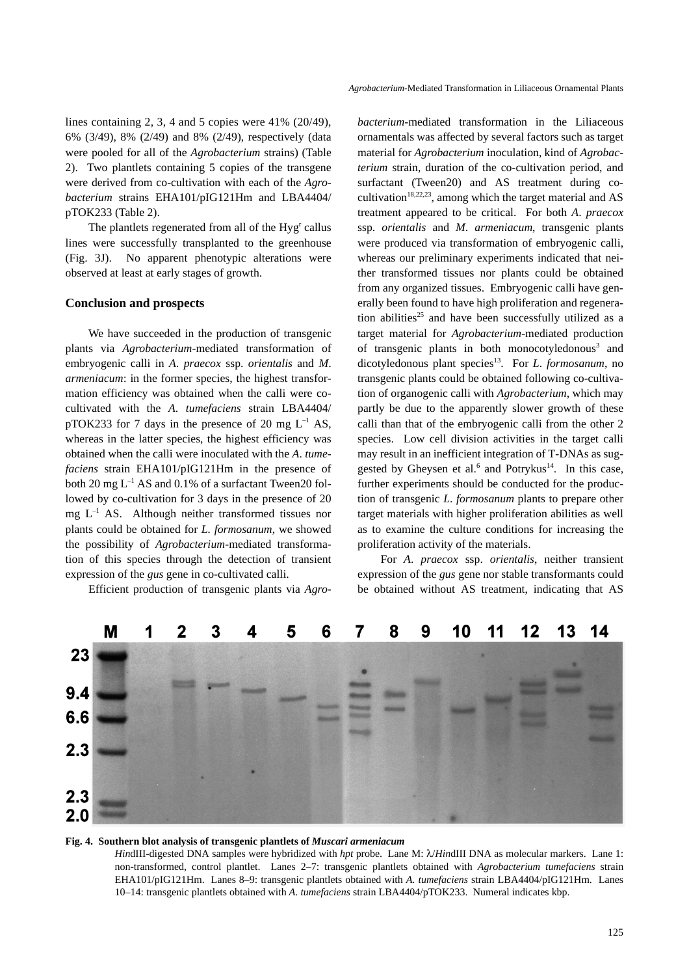lines containing 2, 3, 4 and 5 copies were 41% (20/49), 6% (3/49), 8% (2/49) and 8% (2/49), respectively (data were pooled for all of the *Agrobacterium* strains) (Table 2). Two plantlets containing 5 copies of the transgene were derived from co-cultivation with each of the *Agrobacterium* strains EHA101/pIG121Hm and LBA4404/ pTOK233 (Table 2).

The plantlets regenerated from all of the Hyg<sup>r</sup> callus lines were successfully transplanted to the greenhouse (Fig. 3J). No apparent phenotypic alterations were observed at least at early stages of growth.

## **Conclusion and prospects**

We have succeeded in the production of transgenic plants via *Agrobacterium*-mediated transformation of embryogenic calli in *A*. *praecox* ssp. *orientalis* and *M*. *armeniacum*: in the former species, the highest transformation efficiency was obtained when the calli were cocultivated with the *A*. *tumefaciens* strain LBA4404/ pTOK233 for 7 days in the presence of 20 mg  $L^{-1}$  AS, whereas in the latter species, the highest efficiency was obtained when the calli were inoculated with the *A*. *tumefaciens* strain EHA101/pIG121Hm in the presence of both 20 mg  $L^{-1}$  AS and 0.1% of a surfactant Tween20 followed by co-cultivation for 3 days in the presence of 20 mg  $L^{-1}$  AS. Although neither transformed tissues nor plants could be obtained for *L. formosanum*, we showed the possibility of *Agrobacterium*-mediated transformation of this species through the detection of transient expression of the *gus* gene in co-cultivated calli.

Efficient production of transgenic plants via *Agro-*

*bacterium*-mediated transformation in the Liliaceous ornamentals was affected by several factors such as target material for *Agrobacterium* inoculation, kind of *Agrobacterium* strain, duration of the co-cultivation period, and surfactant (Tween20) and AS treatment during cocultivation<sup>18,22,23</sup>, among which the target material and AS treatment appeared to be critical. For both *A*. *praecox* ssp. *orientalis* and *M*. *armeniacum*, transgenic plants were produced via transformation of embryogenic calli, whereas our preliminary experiments indicated that neither transformed tissues nor plants could be obtained from any organized tissues. Embryogenic calli have generally been found to have high proliferation and regeneration abilities<sup>25</sup> and have been successfully utilized as a target material for *Agrobacterium*-mediated production of transgenic plants in both monocotyledonous<sup>3</sup> and dicotyledonous plant species<sup>13</sup>. For *L. formosanum*, no transgenic plants could be obtained following co-cultivation of organogenic calli with *Agrobacterium*, which may partly be due to the apparently slower growth of these calli than that of the embryogenic calli from the other 2 species. Low cell division activities in the target calli may result in an inefficient integration of T-DNAs as suggested by Gheysen et al.<sup>6</sup> and Potrykus<sup>14</sup>. In this case, further experiments should be conducted for the production of transgenic *L*. *formosanum* plants to prepare other target materials with higher proliferation abilities as well as to examine the culture conditions for increasing the proliferation activity of the materials.

For *A*. *praecox* ssp. *orientalis*, neither transient expression of the *gus* gene nor stable transformants could be obtained without AS treatment, indicating that AS



#### **Fig. 4. Southern blot analysis of transgenic plantlets of** *Muscari armeniacum*

*Hin*dIII-digested DNA samples were hybridized with *hpt* probe. Lane M: λ/*Hin*dIII DNA as molecular markers. Lane 1: non-transformed, control plantlet. Lanes 2–7: transgenic plantlets obtained with *Agrobacterium tumefaciens* strain EHA101/pIG121Hm. Lanes 8–9: transgenic plantlets obtained with *A. tumefaciens* strain LBA4404/pIG121Hm. Lanes 10–14: transgenic plantlets obtained with *A. tumefaciens* strain LBA4404/pTOK233. Numeral indicates kbp.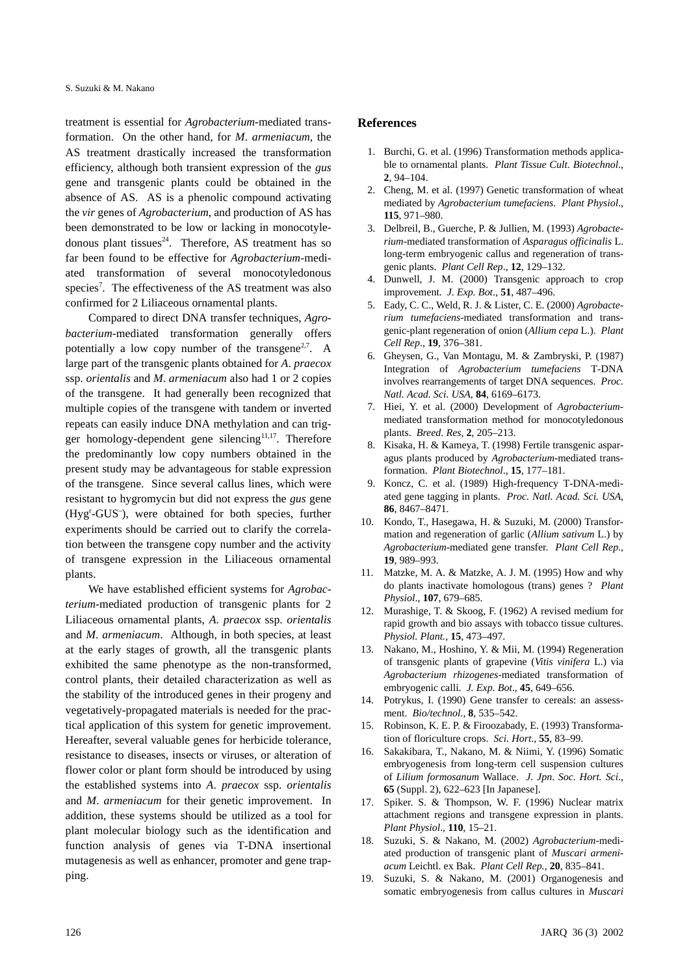treatment is essential for *Agrobacterium*-mediated transformation. On the other hand, for *M*. *armeniacum*, the AS treatment drastically increased the transformation efficiency, although both transient expression of the *gus* gene and transgenic plants could be obtained in the absence of AS. AS is a phenolic compound activating the *vir* genes of *Agrobacterium*, and production of AS has been demonstrated to be low or lacking in monocotyledonous plant tissues $24$ . Therefore, AS treatment has so far been found to be effective for *Agrobacterium*-mediated transformation of several monocotyledonous species<sup>7</sup>. The effectiveness of the AS treatment was also confirmed for 2 Liliaceous ornamental plants.

Compared to direct DNA transfer techniques, *Agrobacterium*-mediated transformation generally offers potentially a low copy number of the transgene<sup>2,7</sup>. A large part of the transgenic plants obtained for *A*. *praecox* ssp. *orientalis* and *M*. *armeniacum* also had 1 or 2 copies of the transgene. It had generally been recognized that multiple copies of the transgene with tandem or inverted repeats can easily induce DNA methylation and can trigger homology-dependent gene silencing $11,17$ . Therefore the predominantly low copy numbers obtained in the present study may be advantageous for stable expression of the transgene. Since several callus lines, which were resistant to hygromycin but did not express the *gus* gene (Hygr -GUS– ), were obtained for both species, further experiments should be carried out to clarify the correlation between the transgene copy number and the activity of transgene expression in the Liliaceous ornamental plants.

We have established efficient systems for *Agrobacterium*-mediated production of transgenic plants for 2 Liliaceous ornamental plants, *A*. *praecox* ssp. *orientalis* and *M*. *armeniacum*. Although, in both species, at least at the early stages of growth, all the transgenic plants exhibited the same phenotype as the non-transformed, control plants, their detailed characterization as well as the stability of the introduced genes in their progeny and vegetatively-propagated materials is needed for the practical application of this system for genetic improvement. Hereafter, several valuable genes for herbicide tolerance, resistance to diseases, insects or viruses, or alteration of flower color or plant form should be introduced by using the established systems into *A*. *praecox* ssp. *orientalis* and *M*. *armeniacum* for their genetic improvement. In addition, these systems should be utilized as a tool for plant molecular biology such as the identification and function analysis of genes via T-DNA insertional mutagenesis as well as enhancer, promoter and gene trapping.

#### **References**

- 1. Burchi, G. et al. (1996) Transformation methods applicable to ornamental plants. *Plant Tissue Cult. Biotechnol*., **2**, 94–104.
- 2. Cheng, M. et al. (1997) Genetic transformation of wheat mediated by *Agrobacterium tumefaciens*. *Plant Physiol*., **115**, 971–980.
- 3. Delbreil, B., Guerche, P. & Jullien, M. (1993) *Agrobacterium*-mediated transformation of *Asparagus officinalis* L. long-term embryogenic callus and regeneration of transgenic plants. *Plant Cell Rep*., **12**, 129–132.
- Dunwell, J. M. (2000) Transgenic approach to crop improvement. *J. Exp. Bot*., **51**, 487–496.
- 5. Eady, C. C., Weld, R. J. & Lister, C. E. (2000) *Agrobacterium tumefaciens*-mediated transformation and transgenic-plant regeneration of onion (*Allium cepa* L.). *Plant Cell Rep*., **19**, 376–381.
- 6. Gheysen, G., Van Montagu, M. & Zambryski, P. (1987) Integration of *Agrobacterium tumefaciens* T-DNA involves rearrangements of target DNA sequences. *Proc. Natl. Acad. Sci. USA*, **84**, 6169–6173.
- 7. Hiei, Y. et al. (2000) Development of *Agrobacterium*mediated transformation method for monocotyledonous plants. *Breed*. *Res*, **2**, 205–213.
- 8. Kisaka, H. & Kameya, T. (1998) Fertile transgenic asparagus plants produced by *Agrobacterium*-mediated transformation. *Plant Biotechnol*., **15**, 177–181.
- 9. Koncz, C. et al. (1989) High-frequency T-DNA-mediated gene tagging in plants. *Proc. Natl. Acad. Sci. USA*, **86**, 8467–8471.
- 10. Kondo, T., Hasegawa, H. & Suzuki, M. (2000) Transformation and regeneration of garlic (*Allium sativum* L.) by *Agrobacterium*-mediated gene transfer. *Plant Cell Rep*., **19**, 989–993.
- 11. Matzke, M. A. & Matzke, A. J. M. (1995) How and why do plants inactivate homologous (trans) genes ? *Plant Physiol*., **107**, 679–685.
- 12. Murashige, T. & Skoog, F. (1962) A revised medium for rapid growth and bio assays with tobacco tissue cultures. *Physiol. Plant.*, **15**, 473–497.
- 13. Nakano, M., Hoshino, Y. & Mii, M. (1994) Regeneration of transgenic plants of grapevine (*Vitis vinifera* L.) via *Agrobacterium rhizogenes*-mediated transformation of embryogenic calli. *J. Exp. Bot*., **45**, 649–656.
- 14. Potrykus, I. (1990) Gene transfer to cereals: an assessment. *Bio/technol*., **8**, 535–542.
- 15. Robinson, K. E. P. & Firoozabady, E. (1993) Transformation of floriculture crops. *Sci. Hort*., **55**, 83–99.
- 16. Sakakibara, T., Nakano, M. & Niimi, Y. (1996) Somatic embryogenesis from long-term cell suspension cultures of *Lilium formosanum* Wallace. *J. Jpn*. *Soc. Hort. Sci.*, **65** (Suppl. 2), 622–623 [In Japanese].
- 17. Spiker. S. & Thompson, W. F. (1996) Nuclear matrix attachment regions and transgene expression in plants. *Plant Physiol*., **110**, 15–21.
- 18. Suzuki, S. & Nakano, M. (2002) *Agrobacterium*-mediated production of transgenic plant of *Muscari armeniacum* Leichtl. ex Bak. *Plant Cell Rep.*, **20**, 835–841.
- 19. Suzuki, S. & Nakano, M. (2001) Organogenesis and somatic embryogenesis from callus cultures in *Muscari*